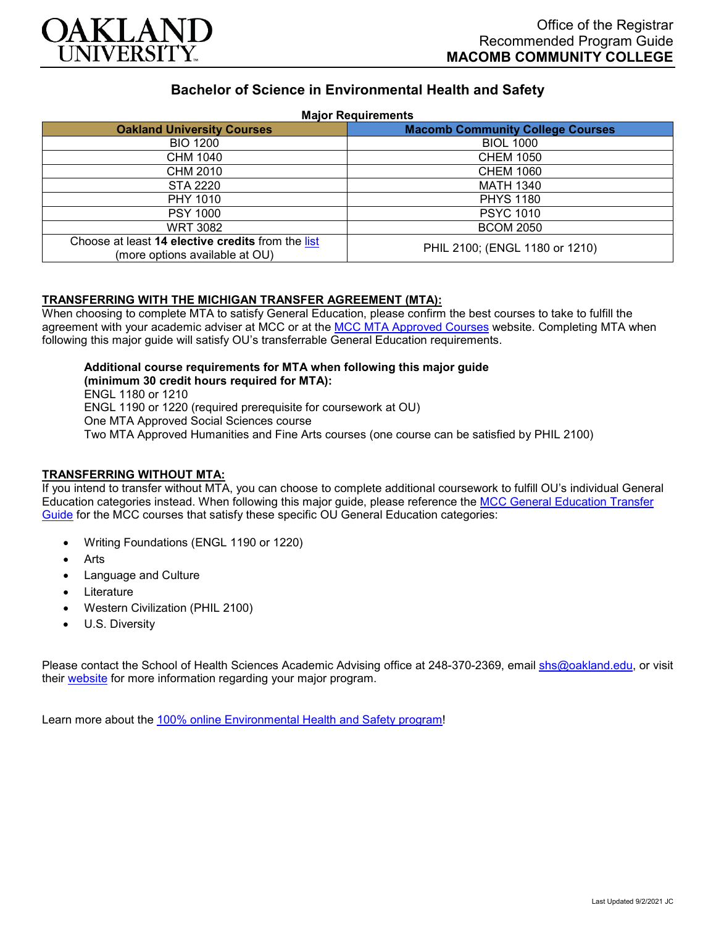

# **Bachelor of Science in Environmental Health and Safety**

#### **Major Requirements**

| <b>Oakland University Courses</b>                                                   | <b>Macomb Community College Courses</b> |
|-------------------------------------------------------------------------------------|-----------------------------------------|
| <b>BIO 1200</b>                                                                     | <b>BIOL 1000</b>                        |
| CHM 1040                                                                            | <b>CHEM 1050</b>                        |
| CHM 2010                                                                            | <b>CHEM 1060</b>                        |
| <b>STA 2220</b>                                                                     | <b>MATH 1340</b>                        |
| PHY 1010                                                                            | <b>PHYS 1180</b>                        |
| <b>PSY 1000</b>                                                                     | <b>PSYC 1010</b>                        |
| <b>WRT 3082</b>                                                                     | <b>BCOM 2050</b>                        |
| Choose at least 14 elective credits from the list<br>(more options available at OU) | PHIL 2100; (ENGL 1180 or 1210)          |

### **TRANSFERRING WITH THE MICHIGAN TRANSFER AGREEMENT (MTA):**

When choosing to complete MTA to satisfy General Education, please confirm the best courses to take to fulfill the agreement with your academic adviser at MCC or at the [MCC MTA Approved Courses](https://www.macomb.edu/resources/transfer-articulation/attachments/mta-macrao-course-list.pdf) website. Completing MTA when following this major guide will satisfy OU's transferrable General Education requirements.

## **Additional course requirements for MTA when following this major guide**

**(minimum 30 credit hours required for MTA):** ENGL 1180 or 1210 ENGL 1190 or 1220 (required prerequisite for coursework at OU) One MTA Approved Social Sciences course Two MTA Approved Humanities and Fine Arts courses (one course can be satisfied by PHIL 2100)

### **TRANSFERRING WITHOUT MTA:**

If you intend to transfer without MTA, you can choose to complete additional coursework to fulfill OU's individual General Education categories instead. When following this major guide, please reference the MCC General Education Transfer [Guide](https://www.oakland.edu/Assets/Oakland/program-guides/macomb-community-college/university-general-education-requirements/MCC%20Gen%20Ed.pdf) for the MCC courses that satisfy these specific OU General Education categories:

- Writing Foundations (ENGL 1190 or 1220)
- **Arts**
- Language and Culture
- **Literature**
- Western Civilization (PHIL 2100)
- U.S. Diversity

Please contact the School of Health Sciences Academic Advising office at 248-370-2369, email [shs@oakland.edu,](mailto:shs@oakland.edu) or visit their [website](http://www.oakland.edu/shs/advising) for more information regarding your major program.

Learn more about the [100% online Environmental Health and Safety program!](https://www.oakland.edu/online/undergraduate-degree-programs/ehs/)